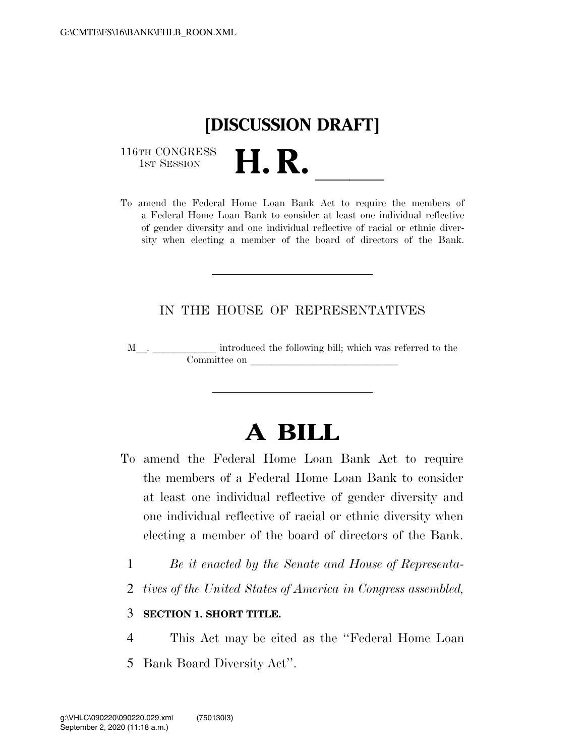# **[DISCUSSION DRAFT]**

116TH CONGRESS<br>1st Session

116TH CONGRESS<br>1st SESSION<br>To amend the Federal Home Loan Bank Act to require the members of a Federal Home Loan Bank to consider at least one individual reflective of gender diversity and one individual reflective of racial or ethnic diversity when electing a member of the board of directors of the Bank.

### IN THE HOUSE OF REPRESENTATIVES

M\_\_. \_\_\_\_\_\_\_\_\_\_\_\_ introduced the following bill; which was referred to the  $$ 

## **A BILL**

- To amend the Federal Home Loan Bank Act to require the members of a Federal Home Loan Bank to consider at least one individual reflective of gender diversity and one individual reflective of racial or ethnic diversity when electing a member of the board of directors of the Bank.
	- 1 *Be it enacted by the Senate and House of Representa-*
	- 2 *tives of the United States of America in Congress assembled,*

#### 3 **SECTION 1. SHORT TITLE.**

4 This Act may be cited as the ''Federal Home Loan 5 Bank Board Diversity Act''.